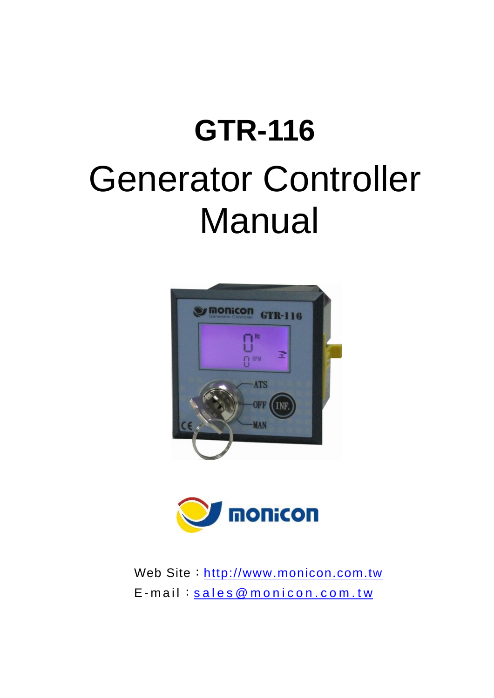# **GTR-116**  Generator Controller Manual





Web Site: http://www.monicon.com.tw E-mail: sales@monicon.com.tw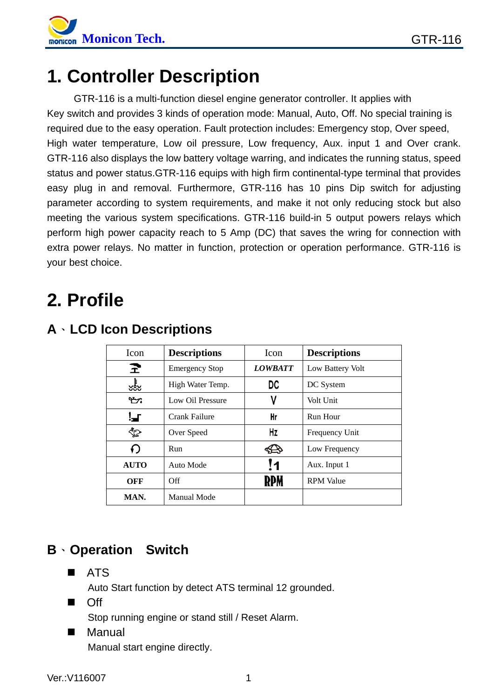

## **1. Controller Description**

GTR-116 is a multi-function diesel engine generator controller. It applies with Key switch and provides 3 kinds of operation mode: Manual, Auto, Off. No special training is required due to the easy operation. Fault protection includes: Emergency stop, Over speed, High water temperature, Low oil pressure, Low frequency, Aux. input 1 and Over crank. GTR-116 also displays the low battery voltage warring, and indicates the running status, speed status and power status.GTR-116 equips with high firm continental-type terminal that provides easy plug in and removal. Furthermore, GTR-116 has 10 pins Dip switch for adjusting parameter according to system requirements, and make it not only reducing stock but also meeting the various system specifications. GTR-116 build-in 5 output powers relays which perform high power capacity reach to 5 Amp (DC) that saves the wring for connection with extra power relays. No matter in function, protection or operation performance. GTR-116 is your best choice.

# **2. Profile**

| Icon        | <b>Descriptions</b>   | Icon           | <b>Descriptions</b> |
|-------------|-----------------------|----------------|---------------------|
| E.          | <b>Emergency Stop</b> | <b>LOWBATT</b> | Low Battery Volt    |
| ఴఴ          | High Water Temp.      | DC             | DC System           |
| ነን          | Low Oil Pressure      | ۷              | Volt Unit           |
| ▚▟▔         | Crank Failure         | Hr             | Run Hour            |
| չ           | Over Speed            | Hz             | Frequency Unit      |
| €           | Run                   |                | Low Frequency       |
| <b>AUTO</b> | Auto Mode             | 11             | Aux. Input 1        |
| OFF         | Off                   |                | <b>RPM</b> Value    |
| MAN.        | Manual Mode           |                |                     |

## **A**、**LCD Icon Descriptions**

## **B**、**Operation Switch**

**B** ATS

Auto Start function by detect ATS terminal 12 grounded.

**n** Off

Stop running engine or stand still / Reset Alarm.

■ Manual Manual start engine directly.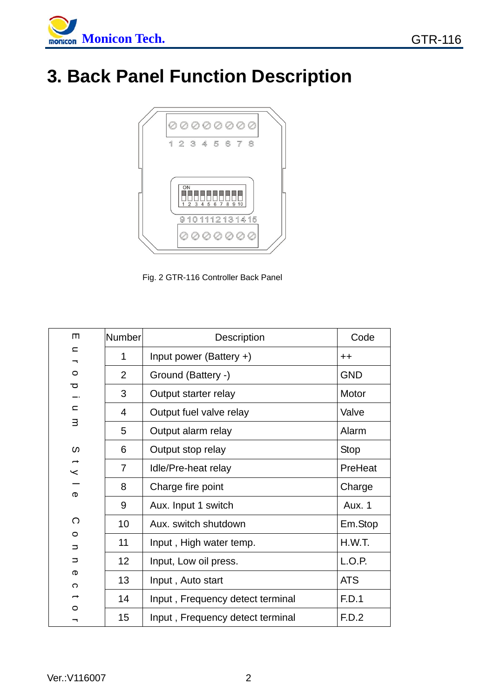

# **3. Back Panel Function Description**



Fig. 2 GTR-116 Controller Back Panel

| $\blacksquare$ | Number         | Description                      | Code        |
|----------------|----------------|----------------------------------|-------------|
| $\subset$<br>⇁ | 1              | Input power (Battery $+$ )       | $++$        |
| $\circ$        | $\overline{2}$ | Ground (Battery -)               | <b>GND</b>  |
| ਹ              | 3              | Output starter relay             | Motor       |
| $\subset$      | $\overline{4}$ | Output fuel valve relay          | Valve       |
| з              | 5              | Output alarm relay               | Alarm       |
| S              | 6              | Output stop relay                | <b>Stop</b> |
| $\prec$        | $\overline{7}$ | Idle/Pre-heat relay              | PreHeat     |
| Φ              | 8              | Charge fire point                | Charge      |
|                | 9              | Aux. Input 1 switch              | Aux. 1      |
| ◯              | 10             | Aux. switch shutdown             | Em.Stop     |
| $\circ$<br>⊃   | 11             | Input, High water temp.          | H.W.T.      |
| ⊃              | 12             | Input, Low oil press.            | L.O.P.      |
| ወ<br>C         | 13             | Input, Auto start                | <b>ATS</b>  |
|                | 14             | Input, Frequency detect terminal | F.D.1       |
| O              | 15             | Input, Frequency detect terminal | F.D.2       |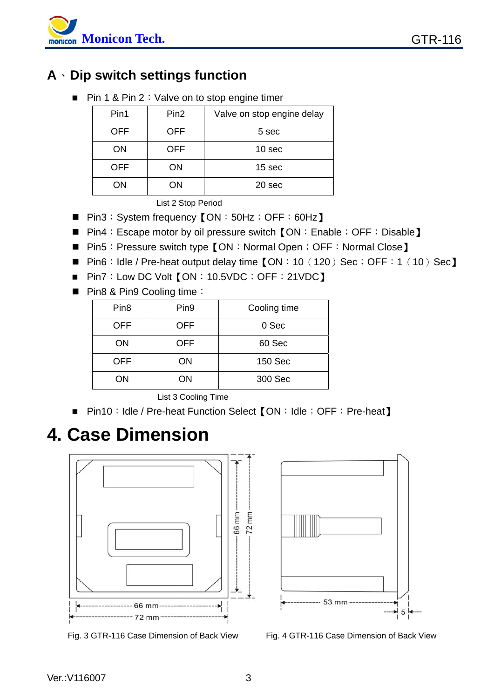

## **A**、**Dip switch settings function**

■ Pin 1 & Pin 2: Valve on to stop engine timer

| Pin1       | Pin <sub>2</sub> | Valve on stop engine delay |
|------------|------------------|----------------------------|
| <b>OFF</b> | <b>OFF</b>       | 5 sec                      |
| ON         | <b>OFF</b>       | 10 sec                     |
| <b>OFF</b> | ΟN               | 15 sec                     |
| ON         | OΝ               | 20 sec                     |

List 2 Stop Period

- Pin3: System frequency 【ON: 50Hz; OFF: 60Hz】
- Pin4: Escape motor by oil pressure switch 【ON: Enable; OFF: Disable】
- Pin5: Pressure switch type 【ON: Normal Open; OFF: Normal Close】
- Pin6: Idle / Pre-heat output delay time 【ON: 10 (120) Sec; OFF: 1 (10) Sec】
- Pin7: Low DC Volt 【ON: 10.5VDC; OFF: 21VDC】
- Pin8 & Pin9 Cooling time:

| Pin <sub>8</sub> | Pin <sub>9</sub> | Cooling time |
|------------------|------------------|--------------|
| <b>OFF</b>       | <b>OFF</b>       | 0 Sec        |
| ON               | OFF              | 60 Sec       |
| <b>OFF</b>       | ΟN               | 150 Sec      |
| ΟN               | ΟN               | 300 Sec      |

List 3 Cooling Time

■ Pin10: Idle / Pre-heat Function Select 【ON: Idle; OFF: Pre-heat】

## **4. Case Dimension**



Fig. 3 GTR-116 Case Dimension of Back View Fig. 4 GTR-116 Case Dimension of Back View

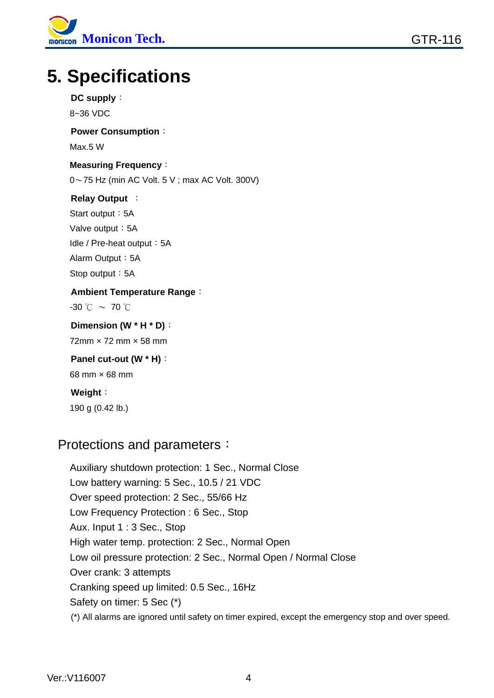

# **5. Specifications**

#### **DC supply**:

8~36 VDC

#### **Power Consumption**:

Max.5 W

#### **Measuring Frequency**:

 $0 \sim 75$  Hz (min AC Volt. 5 V; max AC Volt. 300V)

#### **Relay Output** :

Start output: 5A Valve output: 5A Idle / Pre-heat output: 5A Alarm Output: 5A Stop output: 5A

## **Ambient Temperature Range**:

 $-30$  °C  $\sim$  70 °C

#### **Dimension (W \* H \* D)**: 72mm × 72 mm × 58 mm

#### **Panel cut-out (W \* H)**: 68 mm × 68 mm

**Weight**: 190 g (0.42 lb.)

### Protections and parameters:

Auxiliary shutdown protection: 1 Sec., Normal Close Low battery warning: 5 Sec., 10.5 / 21 VDC Over speed protection: 2 Sec., 55/66 Hz Low Frequency Protection : 6 Sec., Stop Aux. Input 1 : 3 Sec., Stop High water temp. protection: 2 Sec., Normal Open Low oil pressure protection: 2 Sec., Normal Open / Normal Close Over crank: 3 attempts Cranking speed up limited: 0.5 Sec., 16Hz Safety on timer: 5 Sec (\*) (\*) All alarms are ignored until safety on timer expired, except the emergency stop and over speed.